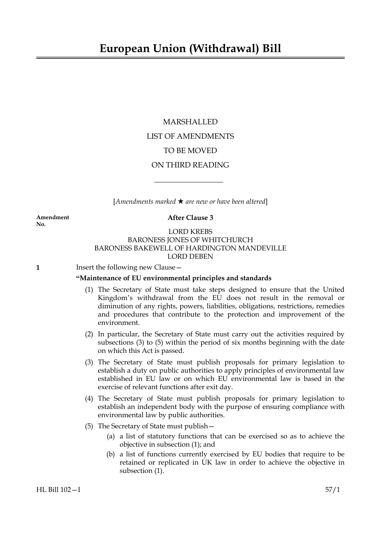MARSHALLED LIST OF AMENDMENTS TO BE MOVED ON THIRD READING

[*Amendments marked* \* *are new or have been altered*]

 $\overline{\phantom{a}}$  , where  $\overline{\phantom{a}}$ 

**No.**

#### **Amendment After Clause 3**

## LORD KREBS BARONESS JONES OF WHITCHURCH BARONESS BAKEWELL OF HARDINGTON MANDEVILLE LORD DEBEN

**1** Insert the following new Clause –

## **"Maintenance of EU environmental principles and standards**

- (1) The Secretary of State must take steps designed to ensure that the United Kingdom's withdrawal from the EU does not result in the removal or diminution of any rights, powers, liabilities, obligations, restrictions, remedies and procedures that contribute to the protection and improvement of the environment.
- (2) In particular, the Secretary of State must carry out the activities required by subsections (3) to (5) within the period of six months beginning with the date on which this Act is passed.
- (3) The Secretary of State must publish proposals for primary legislation to establish a duty on public authorities to apply principles of environmental law established in EU law or on which EU environmental law is based in the exercise of relevant functions after exit day.
- (4) The Secretary of State must publish proposals for primary legislation to establish an independent body with the purpose of ensuring compliance with environmental law by public authorities.
- (5) The Secretary of State must publish—
	- (a) a list of statutory functions that can be exercised so as to achieve the objective in subsection (1); and
	- (b) a list of functions currently exercised by EU bodies that require to be retained or replicated in UK law in order to achieve the objective in subsection (1).

HL Bill 102—I 57/1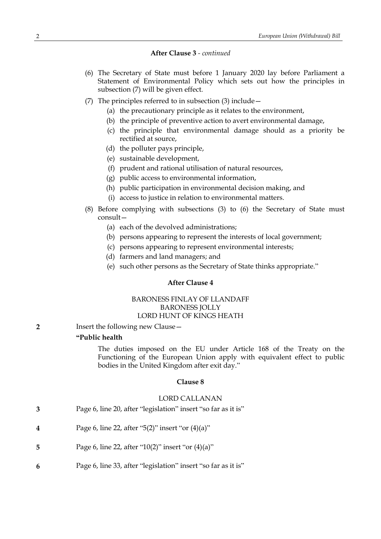#### **After Clause 3** *- continued*

- (6) The Secretary of State must before 1 January 2020 lay before Parliament a Statement of Environmental Policy which sets out how the principles in subsection (7) will be given effect.
- (7) The principles referred to in subsection (3) include—
	- (a) the precautionary principle as it relates to the environment,
	- (b) the principle of preventive action to avert environmental damage,
	- (c) the principle that environmental damage should as a priority be rectified at source,
	- (d) the polluter pays principle,
	- (e) sustainable development,
	- (f) prudent and rational utilisation of natural resources,
	- (g) public access to environmental information,
	- (h) public participation in environmental decision making, and
	- (i) access to justice in relation to environmental matters.
- (8) Before complying with subsections (3) to (6) the Secretary of State must consult—
	- (a) each of the devolved administrations;
	- (b) persons appearing to represent the interests of local government;
	- (c) persons appearing to represent environmental interests;
	- (d) farmers and land managers; and
	- (e) such other persons as the Secretary of State thinks appropriate."

#### **After Clause 4**

## BARONESS FINLAY OF LLANDAFF BARONESS JOLLY LORD HUNT OF KINGS HEATH

**2** Insert the following new Clause—

## **"Public health**

The duties imposed on the EU under Article 168 of the Treaty on the Functioning of the European Union apply with equivalent effect to public bodies in the United Kingdom after exit day."

#### **Clause 8**

#### LORD CALLANAN

- **3** Page 6, line 20, after "legislation" insert "so far as it is"
- **4** Page 6, line 22, after "5(2)" insert "or (4)(a)"
- **5** Page 6, line 22, after "10(2)" insert "or (4)(a)"
- **6** Page 6, line 33, after "legislation" insert "so far as it is"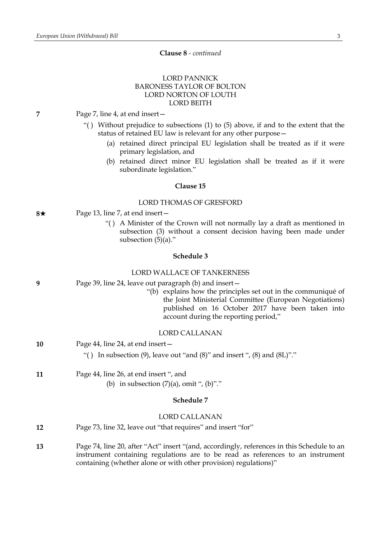#### **Clause 8** *- continued*

# LORD PANNICK BARONESS TAYLOR OF BOLTON LORD NORTON OF LOUTH LORD BEITH

- **7** Page 7, line 4, at end insert—
	- "( ) Without prejudice to subsections (1) to (5) above, if and to the extent that the status of retained EU law is relevant for any other purpose—
		- (a) retained direct principal EU legislation shall be treated as if it were primary legislation, and
		- (b) retained direct minor EU legislation shall be treated as if it were subordinate legislation."

## **Clause 15**

#### LORD THOMAS OF GRESFORD

- **8**★ Page 13, line 7, at end insert
	- "( ) A Minister of the Crown will not normally lay a draft as mentioned in subsection (3) without a consent decision having been made under subsection (5)(a)."

#### **Schedule 3**

## LORD WALLACE OF TANKERNESS

| 9  | Page 39, line 24, leave out paragraph (b) and insert –<br>"(b) explains how the principles set out in the communiqué of<br>the Joint Ministerial Committee (European Negotiations)<br>published on 16 October 2017 have been taken into<br>account during the reporting period," |
|----|----------------------------------------------------------------------------------------------------------------------------------------------------------------------------------------------------------------------------------------------------------------------------------|
|    | <b>LORD CALLANAN</b>                                                                                                                                                                                                                                                             |
| 10 | Page 44, line 24, at end insert-                                                                                                                                                                                                                                                 |
|    | "() In subsection (9), leave out "and $(8)$ " and insert ", $(8)$ and $(8L)$ "."                                                                                                                                                                                                 |
| 11 | Page 44, line 26, at end insert ", and                                                                                                                                                                                                                                           |
|    | (b) in subsection $(7)(a)$ , omit ", $(b)$ "."                                                                                                                                                                                                                                   |
|    | Schedule 7                                                                                                                                                                                                                                                                       |
|    | <b>LORD CALLANAN</b>                                                                                                                                                                                                                                                             |
| 12 | Page 73, line 32, leave out "that requires" and insert "for"                                                                                                                                                                                                                     |
|    |                                                                                                                                                                                                                                                                                  |

**13** Page 74, line 20, after "Act" insert "(and, accordingly, references in this Schedule to an instrument containing regulations are to be read as references to an instrument containing (whether alone or with other provision) regulations)"